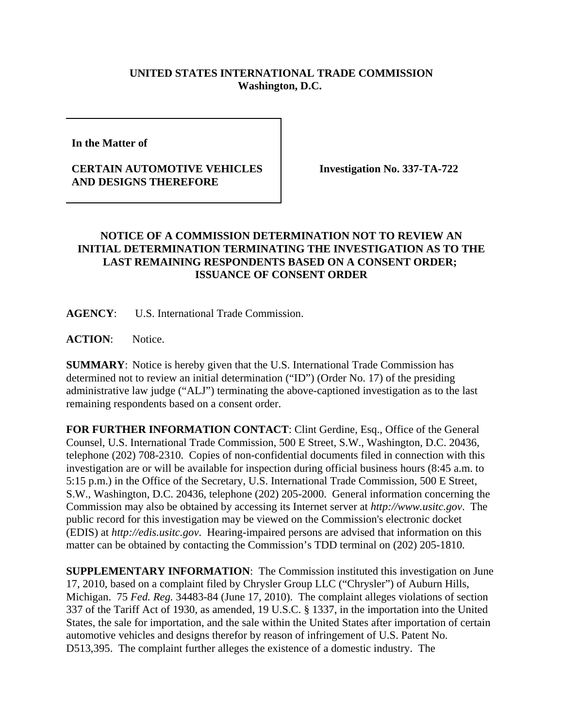## **UNITED STATES INTERNATIONAL TRADE COMMISSION Washington, D.C.**

**In the Matter of** 

## **CERTAIN AUTOMOTIVE VEHICLES AND DESIGNS THEREFORE**

**Investigation No. 337-TA-722**

## **NOTICE OF A COMMISSION DETERMINATION NOT TO REVIEW AN INITIAL DETERMINATION TERMINATING THE INVESTIGATION AS TO THE LAST REMAINING RESPONDENTS BASED ON A CONSENT ORDER; ISSUANCE OF CONSENT ORDER**

**AGENCY**: U.S. International Trade Commission.

**ACTION**: Notice.

**SUMMARY**: Notice is hereby given that the U.S. International Trade Commission has determined not to review an initial determination ("ID") (Order No. 17) of the presiding administrative law judge ("ALJ") terminating the above-captioned investigation as to the last remaining respondents based on a consent order.

**FOR FURTHER INFORMATION CONTACT**: Clint Gerdine, Esq., Office of the General Counsel, U.S. International Trade Commission, 500 E Street, S.W., Washington, D.C. 20436, telephone (202) 708-2310. Copies of non-confidential documents filed in connection with this investigation are or will be available for inspection during official business hours (8:45 a.m. to 5:15 p.m.) in the Office of the Secretary, U.S. International Trade Commission, 500 E Street, S.W., Washington, D.C. 20436, telephone (202) 205-2000. General information concerning the Commission may also be obtained by accessing its Internet server at *http://www.usitc.gov*. The public record for this investigation may be viewed on the Commission's electronic docket (EDIS) at *http://edis.usitc.gov*. Hearing-impaired persons are advised that information on this matter can be obtained by contacting the Commission's TDD terminal on (202) 205-1810.

**SUPPLEMENTARY INFORMATION**: The Commission instituted this investigation on June 17, 2010, based on a complaint filed by Chrysler Group LLC ("Chrysler") of Auburn Hills, Michigan. 75 *Fed. Reg.* 34483-84 (June 17, 2010). The complaint alleges violations of section 337 of the Tariff Act of 1930, as amended, 19 U.S.C. § 1337, in the importation into the United States, the sale for importation, and the sale within the United States after importation of certain automotive vehicles and designs therefor by reason of infringement of U.S. Patent No. D513,395. The complaint further alleges the existence of a domestic industry. The